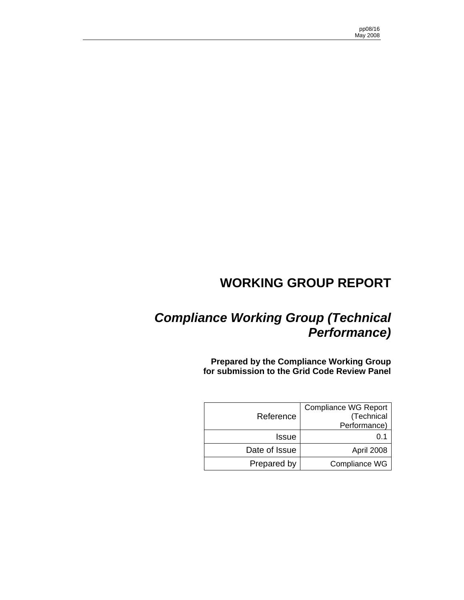# **WORKING GROUP REPORT**

# *Compliance Working Group (Technical Performance)*

**Prepared by the Compliance Working Group for submission to the Grid Code Review Panel** 

|               | <b>Compliance WG Report</b> |
|---------------|-----------------------------|
| Reference     | (Technical                  |
|               | Performance)                |
| <b>Issue</b>  |                             |
| Date of Issue | April 2008                  |
| Prepared by   | Compliance WG               |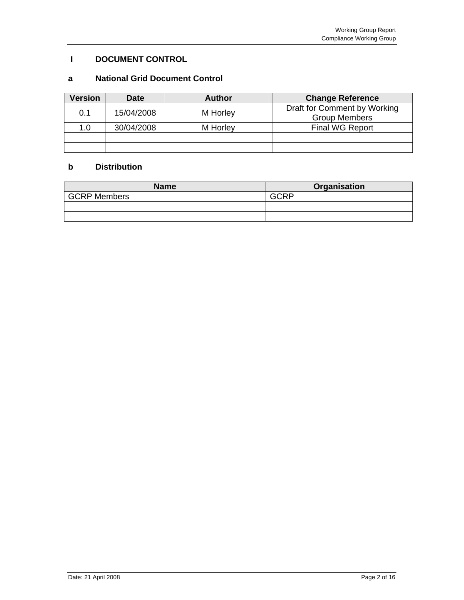# **I DOCUMENT CONTROL**

# **a National Grid Document Control**

| <b>Version</b> | <b>Date</b> | <b>Author</b> | <b>Change Reference</b>                              |
|----------------|-------------|---------------|------------------------------------------------------|
| 0.1            | 15/04/2008  | M Horley      | Draft for Comment by Working<br><b>Group Members</b> |
| 1.0            | 30/04/2008  | M Horley      | <b>Final WG Report</b>                               |
|                |             |               |                                                      |
|                |             |               |                                                      |

# **b Distribution**

| <b>Name</b>         | Organisation |
|---------------------|--------------|
| <b>GCRP Members</b> | חםממ         |
|                     |              |
|                     |              |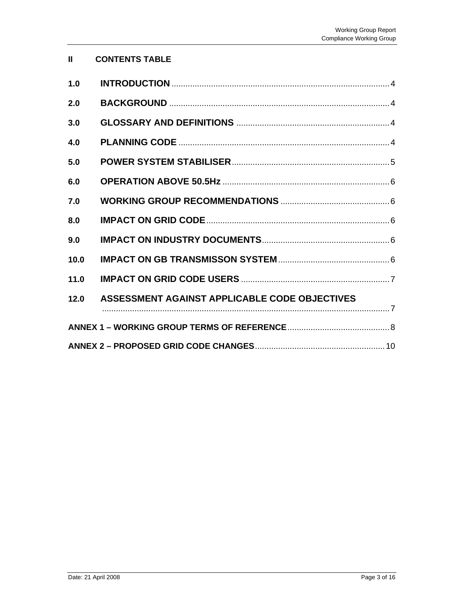| <b>CONTENTS TABLE</b> |  |
|-----------------------|--|
|-----------------------|--|

| 1.0  |                                               |
|------|-----------------------------------------------|
| 2.0  |                                               |
| 3.0  |                                               |
| 4.0  |                                               |
| 5.0  |                                               |
| 6.0  |                                               |
| 7.0  |                                               |
| 8.0  |                                               |
| 9.0  |                                               |
| 10.0 |                                               |
| 11.0 |                                               |
| 12.0 | ASSESSMENT AGAINST APPLICABLE CODE OBJECTIVES |
|      |                                               |
|      |                                               |
|      |                                               |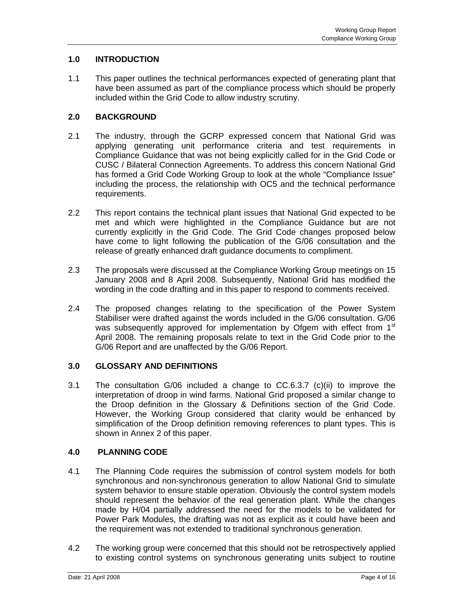# **1.0 INTRODUCTION**

1.1 This paper outlines the technical performances expected of generating plant that have been assumed as part of the compliance process which should be properly included within the Grid Code to allow industry scrutiny.

# **2.0 BACKGROUND**

- 2.1 The industry, through the GCRP expressed concern that National Grid was applying generating unit performance criteria and test requirements in Compliance Guidance that was not being explicitly called for in the Grid Code or CUSC / Bilateral Connection Agreements. To address this concern National Grid has formed a Grid Code Working Group to look at the whole "Compliance Issue" including the process, the relationship with OC5 and the technical performance requirements.
- 2.2 This report contains the technical plant issues that National Grid expected to be met and which were highlighted in the Compliance Guidance but are not currently explicitly in the Grid Code. The Grid Code changes proposed below have come to light following the publication of the G/06 consultation and the release of greatly enhanced draft guidance documents to compliment.
- 2.3 The proposals were discussed at the Compliance Working Group meetings on 15 January 2008 and 8 April 2008. Subsequently, National Grid has modified the wording in the code drafting and in this paper to respond to comments received.
- 2.4 The proposed changes relating to the specification of the Power System Stabiliser were drafted against the words included in the G/06 consultation. G/06 was subsequently approved for implementation by Ofgem with effect from 1<sup>st</sup> April 2008. The remaining proposals relate to text in the Grid Code prior to the G/06 Report and are unaffected by the G/06 Report.

# **3.0 GLOSSARY AND DEFINITIONS**

3.1 The consultation G/06 included a change to CC.6.3.7 (c)(ii) to improve the interpretation of droop in wind farms. National Grid proposed a similar change to the Droop definition in the Glossary & Definitions section of the Grid Code. However, the Working Group considered that clarity would be enhanced by simplification of the Droop definition removing references to plant types. This is shown in Annex 2 of this paper.

# **4.0 PLANNING CODE**

- 4.1 The Planning Code requires the submission of control system models for both synchronous and non-synchronous generation to allow National Grid to simulate system behavior to ensure stable operation. Obviously the control system models should represent the behavior of the real generation plant. While the changes made by H/04 partially addressed the need for the models to be validated for Power Park Modules, the drafting was not as explicit as it could have been and the requirement was not extended to traditional synchronous generation.
- 4.2 The working group were concerned that this should not be retrospectively applied to existing control systems on synchronous generating units subject to routine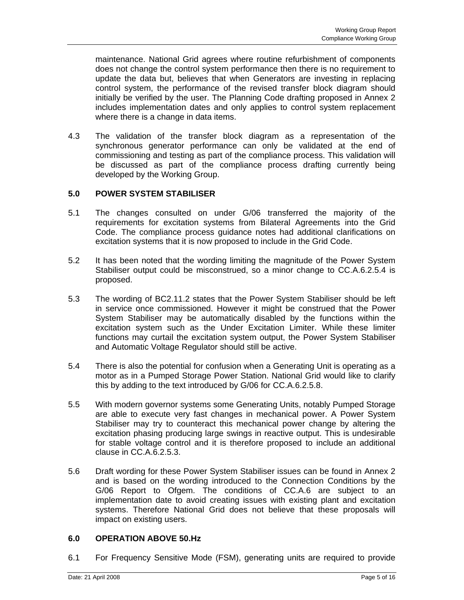maintenance. National Grid agrees where routine refurbishment of components does not change the control system performance then there is no requirement to update the data but, believes that when Generators are investing in replacing control system, the performance of the revised transfer block diagram should initially be verified by the user. The Planning Code drafting proposed in Annex 2 includes implementation dates and only applies to control system replacement where there is a change in data items.

4.3 The validation of the transfer block diagram as a representation of the synchronous generator performance can only be validated at the end of commissioning and testing as part of the compliance process. This validation will be discussed as part of the compliance process drafting currently being developed by the Working Group.

# **5.0 POWER SYSTEM STABILISER**

- 5.1 The changes consulted on under G/06 transferred the majority of the requirements for excitation systems from Bilateral Agreements into the Grid Code. The compliance process guidance notes had additional clarifications on excitation systems that it is now proposed to include in the Grid Code.
- 5.2 It has been noted that the wording limiting the magnitude of the Power System Stabiliser output could be misconstrued, so a minor change to CC.A.6.2.5.4 is proposed.
- 5.3 The wording of BC2.11.2 states that the Power System Stabiliser should be left in service once commissioned. However it might be construed that the Power System Stabiliser may be automatically disabled by the functions within the excitation system such as the Under Excitation Limiter. While these limiter functions may curtail the excitation system output, the Power System Stabiliser and Automatic Voltage Regulator should still be active.
- 5.4 There is also the potential for confusion when a Generating Unit is operating as a motor as in a Pumped Storage Power Station. National Grid would like to clarify this by adding to the text introduced by G/06 for CC.A.6.2.5.8.
- 5.5 With modern governor systems some Generating Units, notably Pumped Storage are able to execute very fast changes in mechanical power. A Power System Stabiliser may try to counteract this mechanical power change by altering the excitation phasing producing large swings in reactive output. This is undesirable for stable voltage control and it is therefore proposed to include an additional clause in CC.A.6.2.5.3.
- 5.6 Draft wording for these Power System Stabiliser issues can be found in Annex 2 and is based on the wording introduced to the Connection Conditions by the G/06 Report to Ofgem. The conditions of CC.A.6 are subject to an implementation date to avoid creating issues with existing plant and excitation systems. Therefore National Grid does not believe that these proposals will impact on existing users.

# **6.0 OPERATION ABOVE 50.Hz**

6.1 For Frequency Sensitive Mode (FSM), generating units are required to provide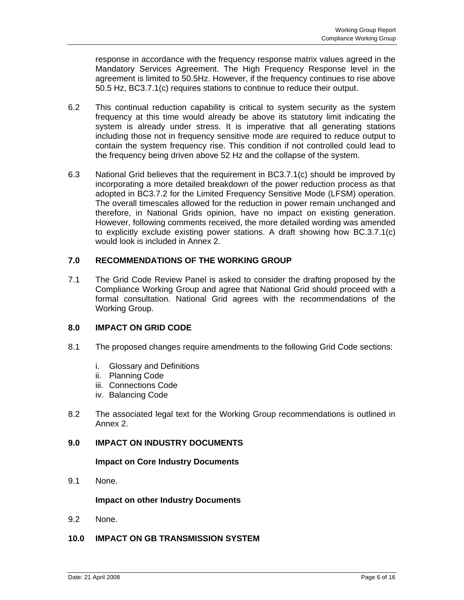response in accordance with the frequency response matrix values agreed in the Mandatory Services Agreement. The High Frequency Response level in the agreement is limited to 50.5Hz. However, if the frequency continues to rise above 50.5 Hz, BC3.7.1(c) requires stations to continue to reduce their output.

- 6.2 This continual reduction capability is critical to system security as the system frequency at this time would already be above its statutory limit indicating the system is already under stress. It is imperative that all generating stations including those not in frequency sensitive mode are required to reduce output to contain the system frequency rise. This condition if not controlled could lead to the frequency being driven above 52 Hz and the collapse of the system.
- 6.3 National Grid believes that the requirement in BC3.7.1(c) should be improved by incorporating a more detailed breakdown of the power reduction process as that adopted in BC3.7.2 for the Limited Frequency Sensitive Mode (LFSM) operation. The overall timescales allowed for the reduction in power remain unchanged and therefore, in National Grids opinion, have no impact on existing generation. However, following comments received, the more detailed wording was amended to explicitly exclude existing power stations. A draft showing how BC.3.7.1(c) would look is included in Annex 2.

# **7.0 RECOMMENDATIONS OF THE WORKING GROUP**

7.1 The Grid Code Review Panel is asked to consider the drafting proposed by the Compliance Working Group and agree that National Grid should proceed with a formal consultation. National Grid agrees with the recommendations of the Working Group.

# **8.0 IMPACT ON GRID CODE**

- 8.1 The proposed changes require amendments to the following Grid Code sections:
	- i. Glossary and Definitions
	- ii. Planning Code
	- iii. Connections Code
	- iv. Balancing Code
- 8.2 The associated legal text for the Working Group recommendations is outlined in Annex 2.

# **9.0 IMPACT ON INDUSTRY DOCUMENTS**

### **Impact on Core Industry Documents**

9.1 None.

### **Impact on other Industry Documents**

9.2 None.

# **10.0 IMPACT ON GB TRANSMISSION SYSTEM**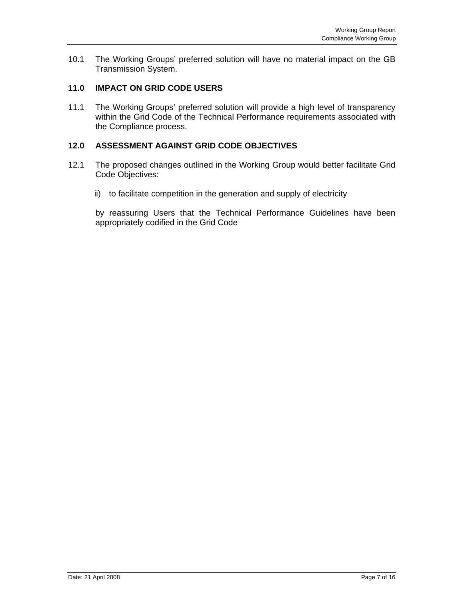10.1 The Working Groups' preferred solution will have no material impact on the GB Transmission System.

# **11.0 IMPACT ON GRID CODE USERS**

11.1 The Working Groups' preferred solution will provide a high level of transparency within the Grid Code of the Technical Performance requirements associated with the Compliance process.

# **12.0 ASSESSMENT AGAINST GRID CODE OBJECTIVES**

- 12.1 The proposed changes outlined in the Working Group would better facilitate Grid Code Objectives:
	- ii) to facilitate competition in the generation and supply of electricity

by reassuring Users that the Technical Performance Guidelines have been appropriately codified in the Grid Code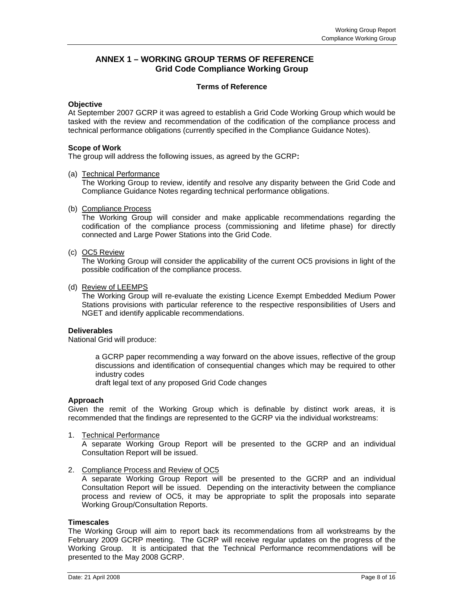### **ANNEX 1 – WORKING GROUP TERMS OF REFERENCE Grid Code Compliance Working Group**

#### **Terms of Reference**

#### **Objective**

At September 2007 GCRP it was agreed to establish a Grid Code Working Group which would be tasked with the review and recommendation of the codification of the compliance process and technical performance obligations (currently specified in the Compliance Guidance Notes).

#### **Scope of Work**

The group will address the following issues, as agreed by the GCRP**:** 

#### (a) Technical Performance

The Working Group to review, identify and resolve any disparity between the Grid Code and Compliance Guidance Notes regarding technical performance obligations.

#### (b) Compliance Process

The Working Group will consider and make applicable recommendations regarding the codification of the compliance process (commissioning and lifetime phase) for directly connected and Large Power Stations into the Grid Code.

#### (c) OC5 Review

The Working Group will consider the applicability of the current OC5 provisions in light of the possible codification of the compliance process.

#### (d) Review of LEEMPS

 The Working Group will re-evaluate the existing Licence Exempt Embedded Medium Power Stations provisions with particular reference to the respective responsibilities of Users and NGET and identify applicable recommendations.

#### **Deliverables**

National Grid will produce:

 a GCRP paper recommending a way forward on the above issues, reflective of the group discussions and identification of consequential changes which may be required to other industry codes

draft legal text of any proposed Grid Code changes

#### **Approach**

Given the remit of the Working Group which is definable by distinct work areas, it is recommended that the findings are represented to the GCRP via the individual workstreams:

1. Technical Performance

A separate Working Group Report will be presented to the GCRP and an individual Consultation Report will be issued.

#### 2. Compliance Process and Review of OC5

A separate Working Group Report will be presented to the GCRP and an individual Consultation Report will be issued. Depending on the interactivity between the compliance process and review of OC5, it may be appropriate to split the proposals into separate Working Group/Consultation Reports.

#### **Timescales**

The Working Group will aim to report back its recommendations from all workstreams by the February 2009 GCRP meeting. The GCRP will receive regular updates on the progress of the Working Group. It is anticipated that the Technical Performance recommendations will be presented to the May 2008 GCRP.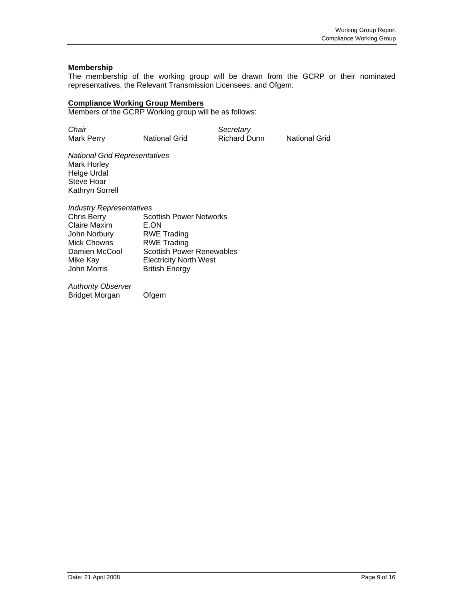#### **Membership**

The membership of the working group will be drawn from the GCRP or their nominated representatives, the Relevant Transmission Licensees, and Ofgem.

#### **Compliance Working Group Members**

Members of the GCRP Working group will be as follows:

| Chair      |                      | Secretary           |                      |
|------------|----------------------|---------------------|----------------------|
| Mark Perry | <b>National Grid</b> | <b>Richard Dunn</b> | <b>National Grid</b> |

*National Grid Representatives*  Mark Horley Helge Urdal Steve Hoar Kathryn Sorrell

*Industry Representatives* 

| <b>Chris Berry</b>  | <b>Scottish Power Networks</b>   |
|---------------------|----------------------------------|
| <b>Claire Maxim</b> | E.ON                             |
| John Norbury        | <b>RWE Trading</b>               |
| <b>Mick Chowns</b>  | <b>RWE Trading</b>               |
| Damien McCool       | <b>Scottish Power Renewables</b> |
| Mike Kay            | <b>Electricity North West</b>    |
| <b>John Morris</b>  | <b>British Energy</b>            |
|                     |                                  |

*Authority Observer*  Bridget Morgan Ofgem

Date: 21 April 2008 Page 9 of 16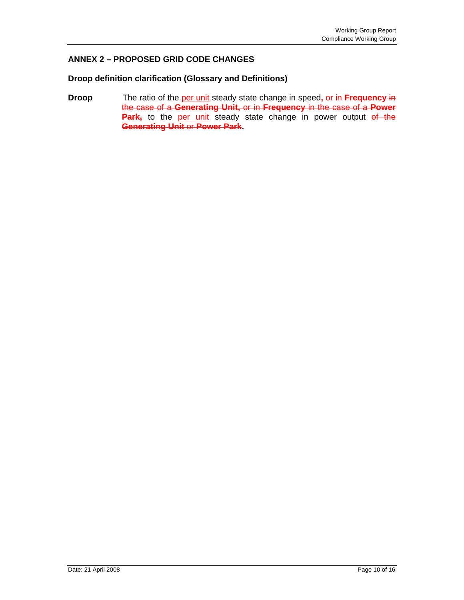# **ANNEX 2 – PROPOSED GRID CODE CHANGES**

### **Droop definition clarification (Glossary and Definitions)**

**Droop** The ratio of the per unit steady state change in speed, or in **Frequency** in the case of a **Generating Unit,** or in **Frequency** in the case of a **Power**  Park, to the per unit steady state change in power output of the **Generating Unit** or **Power Park.**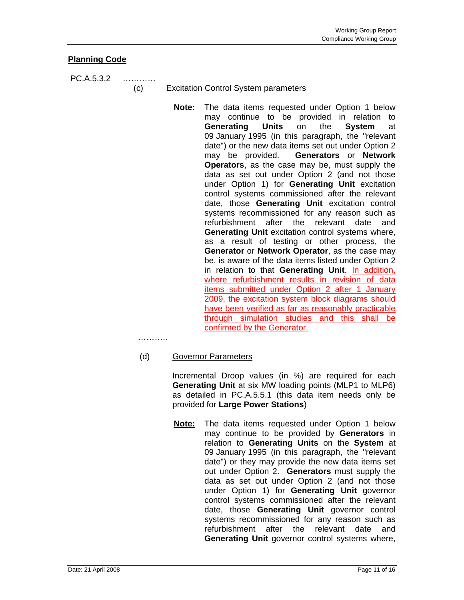# **Planning Code**

PC.A.5.3.2 …………

(c) Excitation Control System parameters

**Note:** The data items requested under Option 1 below may continue to be provided in relation to **Generating Units** on the **System** at 09 January 1995 (in this paragraph, the "relevant date") or the new data items set out under Option 2 may be provided. **Generators** or **Network Operators**, as the case may be, must supply the data as set out under Option 2 (and not those under Option 1) for **Generating Unit** excitation control systems commissioned after the relevant date, those **Generating Unit** excitation control systems recommissioned for any reason such as refurbishment after the relevant date and **Generating Unit** excitation control systems where, as a result of testing or other process, the **Generator** or **Network Operator**, as the case may be, is aware of the data items listed under Option 2 in relation to that **Generating Unit**. In addition, where refurbishment results in revision of data items submitted under Option 2 after 1 January 2009, the excitation system block diagrams should have been verified as far as reasonably practicable through simulation studies and this shall be confirmed by the Generator.

…………

# (d) Governor Parameters

 Incremental Droop values (in %) are required for each **Generating Unit** at six MW loading points (MLP1 to MLP6) as detailed in PC.A.5.5.1 (this data item needs only be provided for **Large Power Stations**)

**Note:** The data items requested under Option 1 below may continue to be provided by **Generators** in relation to **Generating Units** on the **System** at 09 January 1995 (in this paragraph, the "relevant date") or they may provide the new data items set out under Option 2. **Generators** must supply the data as set out under Option 2 (and not those under Option 1) for **Generating Unit** governor control systems commissioned after the relevant date, those **Generating Unit** governor control systems recommissioned for any reason such as refurbishment after the relevant date and **Generating Unit** governor control systems where,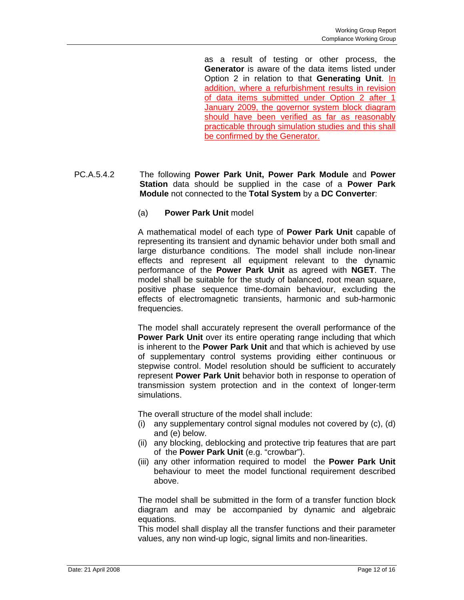as a result of testing or other process, the **Generator** is aware of the data items listed under Option 2 in relation to that Generating Unit. In addition, where a refurbishment results in revision of data items submitted under Option 2 after 1 January 2009, the governor system block diagram should have been verified as far as reasonably practicable through simulation studies and this shall be confirmed by the Generator.

# PC.A.5.4.2 The following **Power Park Unit, Power Park Module** and **Power Station** data should be supplied in the case of a **Power Park Module** not connected to the **Total System** by a **DC Converter**:

### (a) **Power Park Unit** model

A mathematical model of each type of **Power Park Unit** capable of representing its transient and dynamic behavior under both small and large disturbance conditions. The model shall include non-linear effects and represent all equipment relevant to the dynamic performance of the **Power Park Unit** as agreed with **NGET**. The model shall be suitable for the study of balanced, root mean square, positive phase sequence time-domain behaviour, excluding the effects of electromagnetic transients, harmonic and sub-harmonic frequencies.

The model shall accurately represent the overall performance of the **Power Park Unit** over its entire operating range including that which is inherent to the **Power Park Unit** and that which is achieved by use of supplementary control systems providing either continuous or stepwise control. Model resolution should be sufficient to accurately represent **Power Park Unit** behavior both in response to operation of transmission system protection and in the context of longer-term simulations.

The overall structure of the model shall include:

- (i) any supplementary control signal modules not covered by (c), (d) and (e) below.
- (ii) any blocking, deblocking and protective trip features that are part of the **Power Park Unit** (e.g. "crowbar").
- (iii) any other information required to model the **Power Park Unit** behaviour to meet the model functional requirement described above.

The model shall be submitted in the form of a transfer function block diagram and may be accompanied by dynamic and algebraic equations.

This model shall display all the transfer functions and their parameter values, any non wind-up logic, signal limits and non-linearities.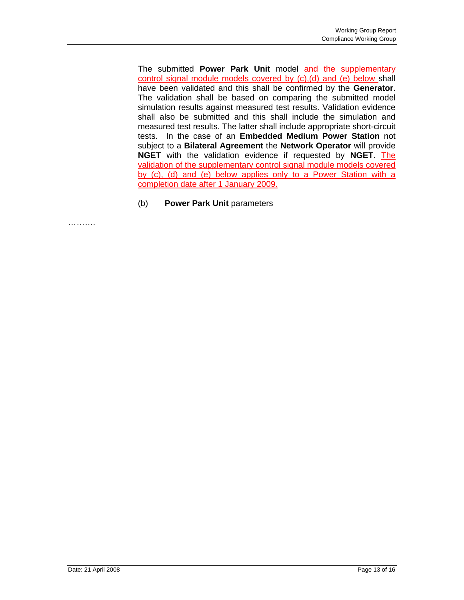The submitted **Power Park Unit** model and the supplementary control signal module models covered by (c),(d) and (e) below shall have been validated and this shall be confirmed by the **Generator**. The validation shall be based on comparing the submitted model simulation results against measured test results. Validation evidence shall also be submitted and this shall include the simulation and measured test results. The latter shall include appropriate short-circuit tests. In the case of an **Embedded Medium Power Station** not subject to a **Bilateral Agreement** the **Network Operator** will provide **NGET** with the validation evidence if requested by **NGET**. The validation of the supplementary control signal module models covered by (c), (d) and (e) below applies only to a Power Station with a completion date after 1 January 2009.

(b) **Power Park Unit** parameters

………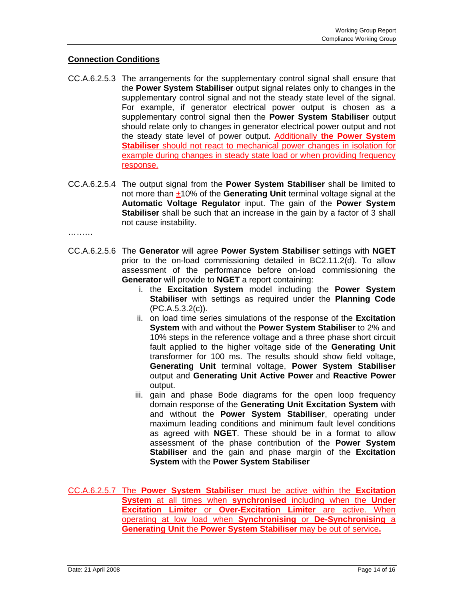### **Connection Conditions**

- CC.A.6.2.5.3 The arrangements for the supplementary control signal shall ensure that the **Power System Stabiliser** output signal relates only to changes in the supplementary control signal and not the steady state level of the signal. For example, if generator electrical power output is chosen as a supplementary control signal then the **Power System Stabiliser** output should relate only to changes in generator electrical power output and not the steady state level of power output. Additionally **the Power System Stabiliser** should not react to mechanical power changes in isolation for example during changes in steady state load or when providing frequency response.
- CC.A.6.2.5.4 The output signal from the **Power System Stabiliser** shall be limited to not more than ±10% of the **Generating Unit** terminal voltage signal at the **Automatic Voltage Regulator** input. The gain of the **Power System Stabiliser** shall be such that an increase in the gain by a factor of 3 shall not cause instability.

………

- CC.A.6.2.5.6 The **Generator** will agree **Power System Stabiliser** settings with **NGET** prior to the on-load commissioning detailed in BC2.11.2(d). To allow assessment of the performance before on-load commissioning the **Generator** will provide to **NGET** a report containing:
	- i. the **Excitation System** model including the **Power System Stabiliser** with settings as required under the **Planning Code** (PC.A.5.3.2(c)).
	- ii. on load time series simulations of the response of the **Excitation System** with and without the **Power System Stabiliser** to 2% and 10% steps in the reference voltage and a three phase short circuit fault applied to the higher voltage side of the **Generating Unit** transformer for 100 ms. The results should show field voltage, **Generating Unit** terminal voltage, **Power System Stabiliser** output and **Generating Unit Active Power** and **Reactive Power** output.
	- iii. gain and phase Bode diagrams for the open loop frequency domain response of the **Generating Unit Excitation System** with and without the **Power System Stabiliser**, operating under maximum leading conditions and minimum fault level conditions as agreed with **NGET**. These should be in a format to allow assessment of the phase contribution of the **Power System Stabiliser** and the gain and phase margin of the **Excitation System** with the **Power System Stabiliser**
- CC.A.6.2.5.7 The **Power System Stabiliser** must be active within the **Excitation System** at all times when **synchronised** including when the **Under Excitation Limiter** or **Over-Excitation Limiter** are active. When operating at low load when **Synchronising** or **De-Synchronising** a **Generating Unit** the **Power System Stabiliser** may be out of service**.**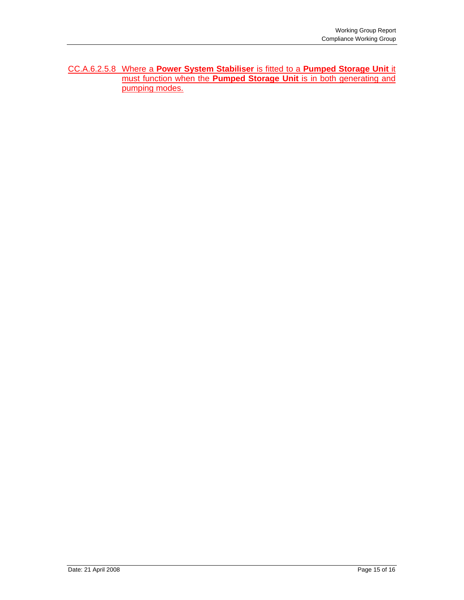CC.A.6.2.5.8 Where a **Power System Stabiliser** is fitted to a **Pumped Storage Unit** it must function when the **Pumped Storage Unit** is in both generating and pumping modes.